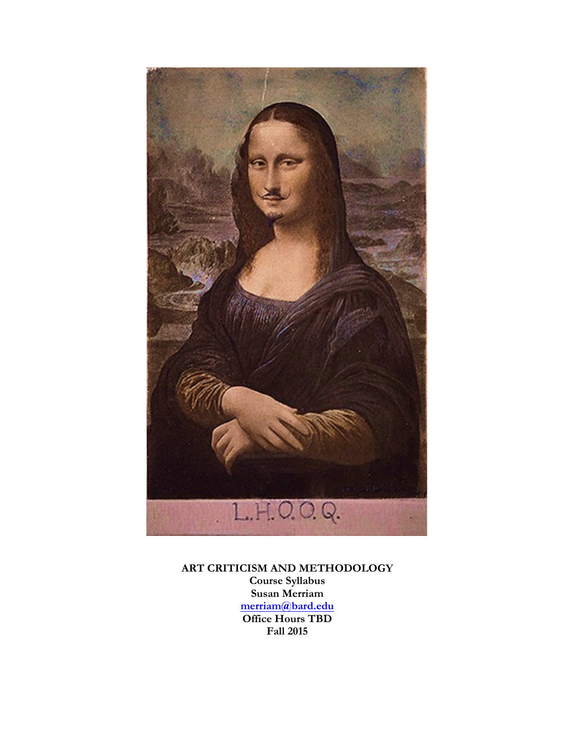

**ART CRITICISM AND METHODOLOGY Course Syllabus Susan Merriam merriam@bard.edu Office Hours TBD Fall 2015**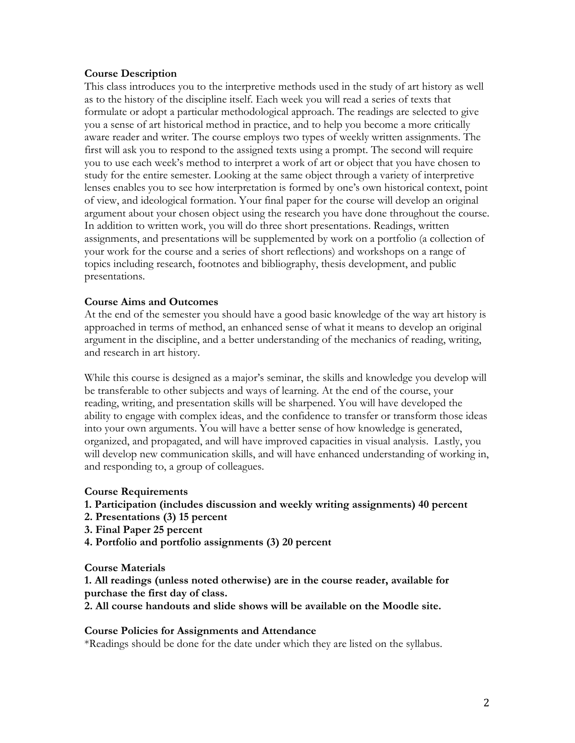#### **Course Description**

This class introduces you to the interpretive methods used in the study of art history as well as to the history of the discipline itself. Each week you will read a series of texts that formulate or adopt a particular methodological approach. The readings are selected to give you a sense of art historical method in practice, and to help you become a more critically aware reader and writer. The course employs two types of weekly written assignments. The first will ask you to respond to the assigned texts using a prompt. The second will require you to use each week's method to interpret a work of art or object that you have chosen to study for the entire semester. Looking at the same object through a variety of interpretive lenses enables you to see how interpretation is formed by one's own historical context, point of view, and ideological formation. Your final paper for the course will develop an original argument about your chosen object using the research you have done throughout the course. In addition to written work, you will do three short presentations. Readings, written assignments, and presentations will be supplemented by work on a portfolio (a collection of your work for the course and a series of short reflections) and workshops on a range of topics including research, footnotes and bibliography, thesis development, and public presentations.

## **Course Aims and Outcomes**

At the end of the semester you should have a good basic knowledge of the way art history is approached in terms of method, an enhanced sense of what it means to develop an original argument in the discipline, and a better understanding of the mechanics of reading, writing, and research in art history.

While this course is designed as a major's seminar, the skills and knowledge you develop will be transferable to other subjects and ways of learning. At the end of the course, your reading, writing, and presentation skills will be sharpened. You will have developed the ability to engage with complex ideas, and the confidence to transfer or transform those ideas into your own arguments. You will have a better sense of how knowledge is generated, organized, and propagated, and will have improved capacities in visual analysis. Lastly, you will develop new communication skills, and will have enhanced understanding of working in, and responding to, a group of colleagues.

#### **Course Requirements**

#### **1. Participation (includes discussion and weekly writing assignments) 40 percent**

- **2. Presentations (3) 15 percent**
- **3. Final Paper 25 percent**
- **4. Portfolio and portfolio assignments (3) 20 percent**

**Course Materials**

**1. All readings (unless noted otherwise) are in the course reader, available for purchase the first day of class.**

**2. All course handouts and slide shows will be available on the Moodle site.**

#### **Course Policies for Assignments and Attendance**

\*Readings should be done for the date under which they are listed on the syllabus.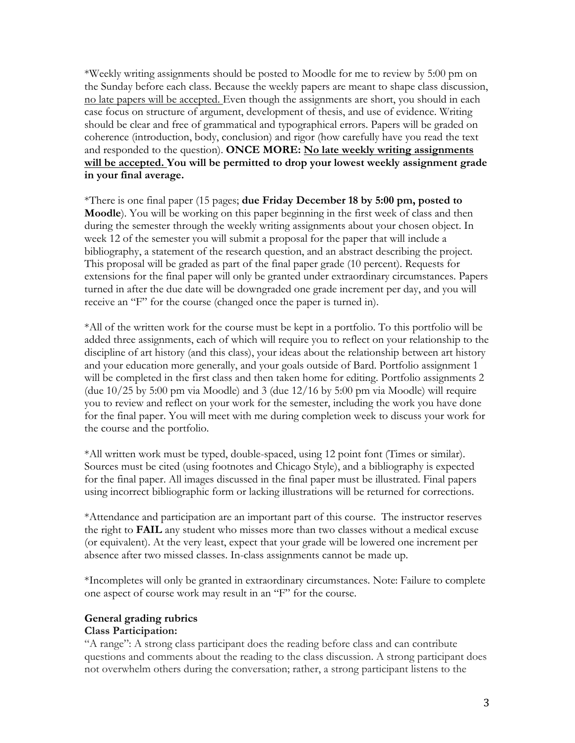\*Weekly writing assignments should be posted to Moodle for me to review by 5:00 pm on the Sunday before each class. Because the weekly papers are meant to shape class discussion, no late papers will be accepted. Even though the assignments are short, you should in each case focus on structure of argument, development of thesis, and use of evidence. Writing should be clear and free of grammatical and typographical errors. Papers will be graded on coherence (introduction, body, conclusion) and rigor (how carefully have you read the text and responded to the question). **ONCE MORE: No late weekly writing assignments will be accepted. You will be permitted to drop your lowest weekly assignment grade in your final average.**

\*There is one final paper (15 pages; **due Friday December 18 by 5:00 pm, posted to Moodle**). You will be working on this paper beginning in the first week of class and then during the semester through the weekly writing assignments about your chosen object. In week 12 of the semester you will submit a proposal for the paper that will include a bibliography, a statement of the research question, and an abstract describing the project. This proposal will be graded as part of the final paper grade (10 percent). Requests for extensions for the final paper will only be granted under extraordinary circumstances. Papers turned in after the due date will be downgraded one grade increment per day, and you will receive an "F" for the course (changed once the paper is turned in).

\*All of the written work for the course must be kept in a portfolio. To this portfolio will be added three assignments, each of which will require you to reflect on your relationship to the discipline of art history (and this class), your ideas about the relationship between art history and your education more generally, and your goals outside of Bard. Portfolio assignment 1 will be completed in the first class and then taken home for editing. Portfolio assignments 2 (due 10/25 by 5:00 pm via Moodle) and 3 (due 12/16 by 5:00 pm via Moodle) will require you to review and reflect on your work for the semester, including the work you have done for the final paper. You will meet with me during completion week to discuss your work for the course and the portfolio.

\*All written work must be typed, double-spaced, using 12 point font (Times or similar). Sources must be cited (using footnotes and Chicago Style), and a bibliography is expected for the final paper. All images discussed in the final paper must be illustrated. Final papers using incorrect bibliographic form or lacking illustrations will be returned for corrections.

\*Attendance and participation are an important part of this course. The instructor reserves the right to **FAIL** any student who misses more than two classes without a medical excuse (or equivalent). At the very least, expect that your grade will be lowered one increment per absence after two missed classes. In-class assignments cannot be made up.

\*Incompletes will only be granted in extraordinary circumstances. Note: Failure to complete one aspect of course work may result in an "F" for the course.

#### **General grading rubrics**

#### **Class Participation:**

"A range": A strong class participant does the reading before class and can contribute questions and comments about the reading to the class discussion. A strong participant does not overwhelm others during the conversation; rather, a strong participant listens to the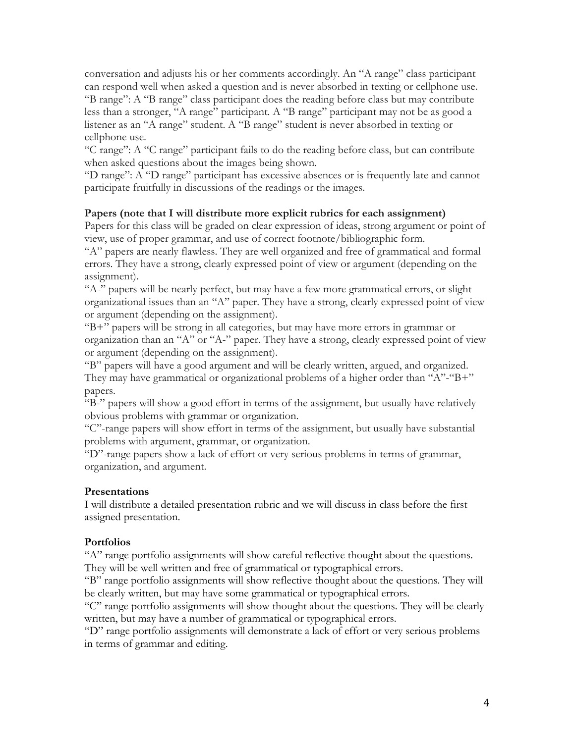conversation and adjusts his or her comments accordingly. An "A range" class participant can respond well when asked a question and is never absorbed in texting or cellphone use. "B range": A "B range" class participant does the reading before class but may contribute less than a stronger, "A range" participant. A "B range" participant may not be as good a listener as an "A range" student. A "B range" student is never absorbed in texting or cellphone use.

"C range": A "C range" participant fails to do the reading before class, but can contribute when asked questions about the images being shown.

"D range": A "D range" participant has excessive absences or is frequently late and cannot participate fruitfully in discussions of the readings or the images.

#### **Papers (note that I will distribute more explicit rubrics for each assignment)**

Papers for this class will be graded on clear expression of ideas, strong argument or point of view, use of proper grammar, and use of correct footnote/bibliographic form.

"A" papers are nearly flawless. They are well organized and free of grammatical and formal errors. They have a strong, clearly expressed point of view or argument (depending on the assignment).

"A-" papers will be nearly perfect, but may have a few more grammatical errors, or slight organizational issues than an "A" paper. They have a strong, clearly expressed point of view or argument (depending on the assignment).

"B+" papers will be strong in all categories, but may have more errors in grammar or organization than an "A" or "A-" paper. They have a strong, clearly expressed point of view or argument (depending on the assignment).

"B" papers will have a good argument and will be clearly written, argued, and organized. They may have grammatical or organizational problems of a higher order than " $A$ "-" $B$ +" papers.

"B-" papers will show a good effort in terms of the assignment, but usually have relatively obvious problems with grammar or organization.

"C"-range papers will show effort in terms of the assignment, but usually have substantial problems with argument, grammar, or organization.

"D"-range papers show a lack of effort or very serious problems in terms of grammar, organization, and argument.

#### **Presentations**

I will distribute a detailed presentation rubric and we will discuss in class before the first assigned presentation.

## **Portfolios**

"A" range portfolio assignments will show careful reflective thought about the questions. They will be well written and free of grammatical or typographical errors.

"B" range portfolio assignments will show reflective thought about the questions. They will be clearly written, but may have some grammatical or typographical errors.

"C" range portfolio assignments will show thought about the questions. They will be clearly written, but may have a number of grammatical or typographical errors.

"D" range portfolio assignments will demonstrate a lack of effort or very serious problems in terms of grammar and editing.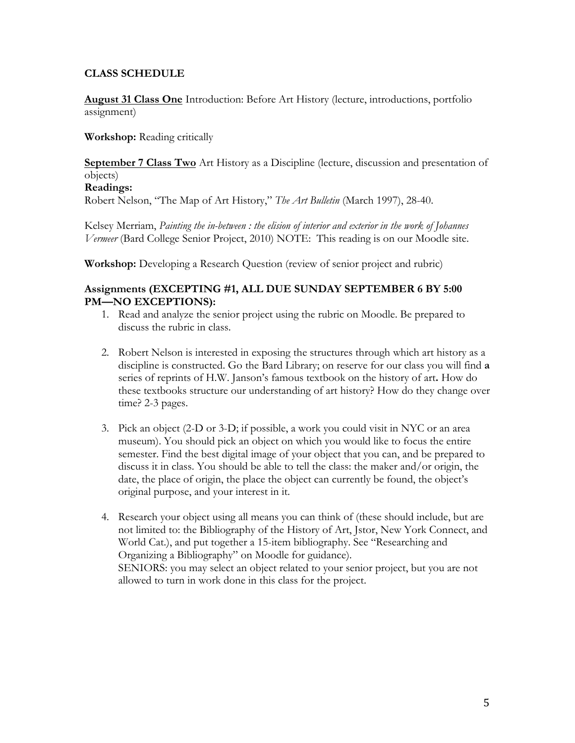# **CLASS SCHEDULE**

**August 31 Class One** Introduction: Before Art History (lecture, introductions, portfolio assignment)

**Workshop:** Reading critically

**September 7 Class Two** Art History as a Discipline (lecture, discussion and presentation of objects)

## **Readings:**

Robert Nelson, "The Map of Art History," *The Art Bulletin* (March 1997), 28-40.

Kelsey Merriam, *Painting the in-between : the elision of interior and exterior in the work of Johannes Vermeer* (Bard College Senior Project, 2010) NOTE: This reading is on our Moodle site.

**Workshop:** Developing a Research Question (review of senior project and rubric)

## **Assignments (EXCEPTING #1, ALL DUE SUNDAY SEPTEMBER 6 BY 5:00 PM—NO EXCEPTIONS):**

- 1. Read and analyze the senior project using the rubric on Moodle. Be prepared to discuss the rubric in class.
- 2. Robert Nelson is interested in exposing the structures through which art history as a discipline is constructed. Go the Bard Library; on reserve for our class you will find **a**  series of reprints of H.W. Janson's famous textbook on the history of art**.** How do these textbooks structure our understanding of art history? How do they change over time? 2-3 pages.
- 3. Pick an object (2-D or 3-D; if possible, a work you could visit in NYC or an area museum). You should pick an object on which you would like to focus the entire semester. Find the best digital image of your object that you can, and be prepared to discuss it in class. You should be able to tell the class: the maker and/or origin, the date, the place of origin, the place the object can currently be found, the object's original purpose, and your interest in it.
- 4. Research your object using all means you can think of (these should include, but are not limited to: the Bibliography of the History of Art, Jstor, New York Connect, and World Cat.), and put together a 15-item bibliography. See "Researching and Organizing a Bibliography" on Moodle for guidance). SENIORS: you may select an object related to your senior project, but you are not allowed to turn in work done in this class for the project.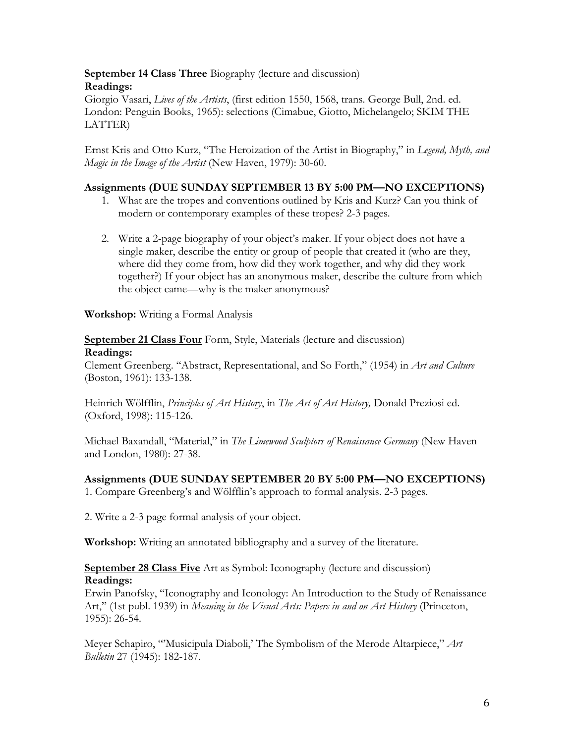**September 14 Class Three** Biography (lecture and discussion) **Readings:** 

Giorgio Vasari, *Lives of the Artists*, (first edition 1550, 1568, trans. George Bull, 2nd. ed. London: Penguin Books, 1965): selections (Cimabue, Giotto, Michelangelo; SKIM THE LATTER)

Ernst Kris and Otto Kurz, "The Heroization of the Artist in Biography," in *Legend, Myth, and Magic in the Image of the Artist* (New Haven, 1979): 30-60.

# **Assignments (DUE SUNDAY SEPTEMBER 13 BY 5:00 PM—NO EXCEPTIONS)**

- 1. What are the tropes and conventions outlined by Kris and Kurz? Can you think of modern or contemporary examples of these tropes? 2-3 pages.
- 2. Write a 2-page biography of your object's maker. If your object does not have a single maker, describe the entity or group of people that created it (who are they, where did they come from, how did they work together, and why did they work together?) If your object has an anonymous maker, describe the culture from which the object came—why is the maker anonymous?

**Workshop:** Writing a Formal Analysis

**September 21 Class Four** Form, Style, Materials (lecture and discussion) **Readings:**

Clement Greenberg. "Abstract, Representational, and So Forth," (1954) in *Art and Culture* (Boston, 1961): 133-138.

Heinrich Wölfflin, *Principles of Art History*, in *The Art of Art History,* Donald Preziosi ed. (Oxford, 1998): 115-126.

Michael Baxandall, "Material," in *The Limewood Sculptors of Renaissance Germany* (New Haven and London, 1980): 27-38.

# **Assignments (DUE SUNDAY SEPTEMBER 20 BY 5:00 PM—NO EXCEPTIONS)**

1. Compare Greenberg's and Wölfflin's approach to formal analysis. 2-3 pages.

2. Write a 2-3 page formal analysis of your object.

**Workshop:** Writing an annotated bibliography and a survey of the literature.

# **September 28 Class Five** Art as Symbol: Iconography (lecture and discussion) **Readings:**

Erwin Panofsky, "Iconography and Iconology: An Introduction to the Study of Renaissance Art," (1st publ. 1939) in *Meaning in the Visual Arts: Papers in and on Art History* (Princeton, 1955): 26-54.

Meyer Schapiro, "'Musicipula Diaboli,' The Symbolism of the Merode Altarpiece," *Art Bulletin* 27 (1945): 182-187.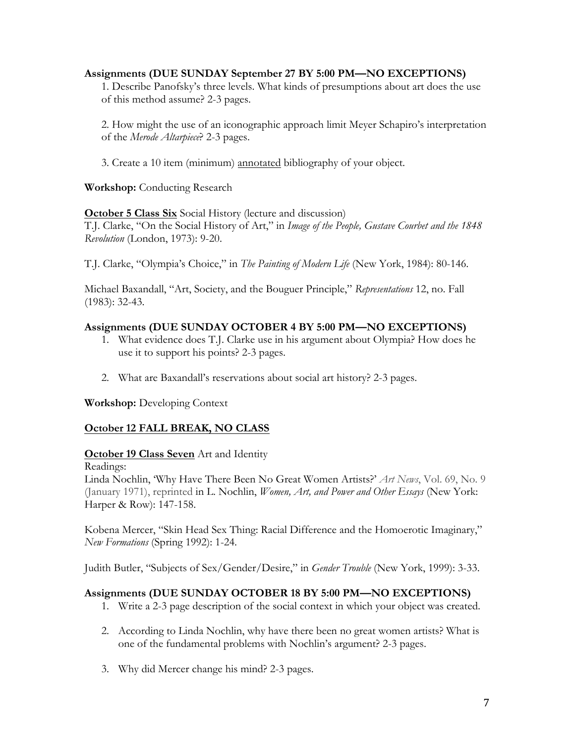## **Assignments (DUE SUNDAY September 27 BY 5:00 PM—NO EXCEPTIONS)**

1. Describe Panofsky's three levels. What kinds of presumptions about art does the use of this method assume? 2-3 pages.

2. How might the use of an iconographic approach limit Meyer Schapiro's interpretation of the *Merode Altarpiece*? 2-3 pages.

3. Create a 10 item (minimum) annotated bibliography of your object.

**Workshop:** Conducting Research

# **October 5 Class Six** Social History (lecture and discussion)

T.J. Clarke, "On the Social History of Art," in *Image of the People, Gustave Courbet and the 1848 Revolution* (London, 1973): 9-20.

T.J. Clarke, "Olympia's Choice," in *The Painting of Modern Life* (New York, 1984): 80-146.

Michael Baxandall, "Art, Society, and the Bouguer Principle," *Representations* 12, no. Fall (1983): 32-43.

# **Assignments (DUE SUNDAY OCTOBER 4 BY 5:00 PM—NO EXCEPTIONS)**

- 1. What evidence does T.J. Clarke use in his argument about Olympia? How does he use it to support his points? 2-3 pages.
- 2. What are Baxandall's reservations about social art history? 2-3 pages.

**Workshop:** Developing Context

# **October 12 FALL BREAK, NO CLASS**

## **October 19 Class Seven** Art and Identity

Readings:

Linda Nochlin, 'Why Have There Been No Great Women Artists?' *Art News*, Vol. 69, No. 9 (January 1971), reprinted in L. Nochlin, *Women, Art, and Power and Other Essays* (New York: Harper & Row): 147-158.

Kobena Mercer, "Skin Head Sex Thing: Racial Difference and the Homoerotic Imaginary," *New Formations* (Spring 1992): 1-24.

Judith Butler, "Subjects of Sex/Gender/Desire," in *Gender Trouble* (New York, 1999): 3-33.

# **Assignments (DUE SUNDAY OCTOBER 18 BY 5:00 PM—NO EXCEPTIONS)**

- 1. Write a 2-3 page description of the social context in which your object was created.
- 2. According to Linda Nochlin, why have there been no great women artists? What is one of the fundamental problems with Nochlin's argument? 2-3 pages.
- 3. Why did Mercer change his mind? 2-3 pages.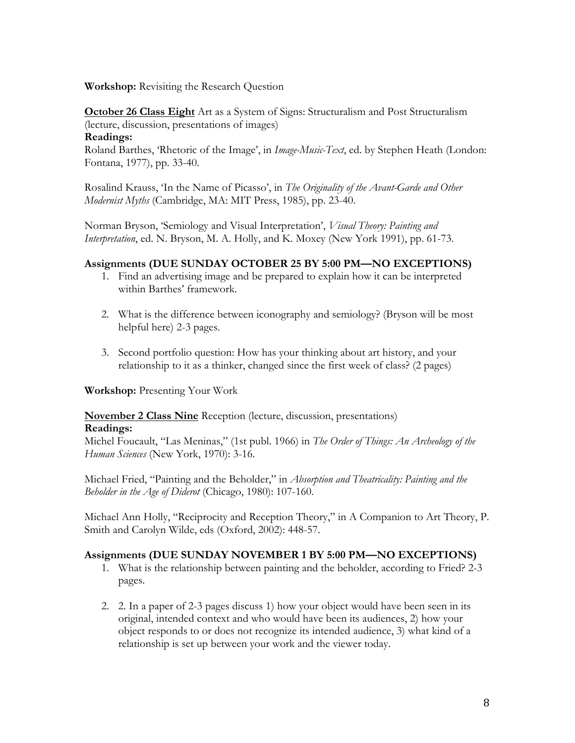**Workshop:** Revisiting the Research Question

**October 26 Class Eight** Art as a System of Signs: Structuralism and Post Structuralism (lecture, discussion, presentations of images)

#### **Readings:**

Roland Barthes, 'Rhetoric of the Image', in *Image-Music-Text*, ed. by Stephen Heath (London: Fontana, 1977), pp. 33-40.

Rosalind Krauss, 'In the Name of Picasso', in *The Originality of the Avant-Garde and Other Modernist Myths* (Cambridge, MA: MIT Press, 1985), pp. 23-40.

Norman Bryson, 'Semiology and Visual Interpretation', *Visual Theory: Painting and Interpretation*, ed. N. Bryson, M. A. Holly, and K. Moxey (New York 1991), pp. 61-73.

# **Assignments (DUE SUNDAY OCTOBER 25 BY 5:00 PM—NO EXCEPTIONS)**

- 1. Find an advertising image and be prepared to explain how it can be interpreted within Barthes' framework.
- 2. What is the difference between iconography and semiology? (Bryson will be most helpful here) 2-3 pages.
- 3. Second portfolio question: How has your thinking about art history, and your relationship to it as a thinker, changed since the first week of class? (2 pages)

## **Workshop:** Presenting Your Work

# **November 2 Class Nine** Reception (lecture, discussion, presentations)

#### **Readings:**

Michel Foucault, "Las Meninas," (1st publ. 1966) in *The Order of Things: An Archeology of the Human Sciences* (New York, 1970): 3-16.

Michael Fried, "Painting and the Beholder," in *Absorption and Theatricality: Painting and the Beholder in the Age of Diderot* (Chicago, 1980): 107-160.

Michael Ann Holly, "Reciprocity and Reception Theory," in A Companion to Art Theory, P. Smith and Carolyn Wilde, eds (Oxford, 2002): 448-57.

## **Assignments (DUE SUNDAY NOVEMBER 1 BY 5:00 PM—NO EXCEPTIONS)**

- 1. What is the relationship between painting and the beholder, according to Fried? 2-3 pages.
- 2. 2. In a paper of 2-3 pages discuss 1) how your object would have been seen in its original, intended context and who would have been its audiences, 2) how your object responds to or does not recognize its intended audience, 3) what kind of a relationship is set up between your work and the viewer today.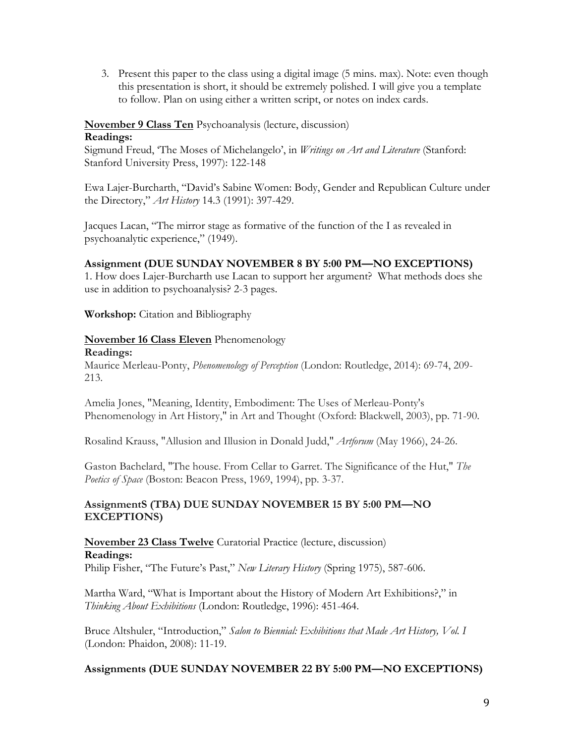3. Present this paper to the class using a digital image (5 mins. max). Note: even though this presentation is short, it should be extremely polished. I will give you a template to follow. Plan on using either a written script, or notes on index cards.

# **November 9 Class Ten** Psychoanalysis (lecture, discussion)

## **Readings:**

Sigmund Freud, 'The Moses of Michelangelo', in *Writings on Art and Literature* (Stanford: Stanford University Press, 1997): 122-148

Ewa Lajer-Burcharth, "David's Sabine Women: Body, Gender and Republican Culture under the Directory," *Art History* 14.3 (1991): 397-429.

Jacques Lacan, "The mirror stage as formative of the function of the I as revealed in psychoanalytic experience," (1949).

# **Assignment (DUE SUNDAY NOVEMBER 8 BY 5:00 PM—NO EXCEPTIONS)**

1. How does Lajer-Burcharth use Lacan to support her argument? What methods does she use in addition to psychoanalysis? 2-3 pages.

**Workshop:** Citation and Bibliography

# **November 16 Class Eleven** Phenomenology

#### **Readings:**

Maurice Merleau-Ponty, *Phenomenology of Perception* (London: Routledge, 2014): 69-74, 209- 213.

Amelia Jones, "Meaning, Identity, Embodiment: The Uses of Merleau-Ponty's Phenomenology in Art History," in Art and Thought (Oxford: Blackwell, 2003), pp. 71-90.

Rosalind Krauss, "Allusion and Illusion in Donald Judd," *Artforum* (May 1966), 24-26.

Gaston Bachelard, "The house. From Cellar to Garret. The Significance of the Hut," *The Poetics of Space* (Boston: Beacon Press, 1969, 1994), pp. 3-37.

## **AssignmentS (TBA) DUE SUNDAY NOVEMBER 15 BY 5:00 PM—NO EXCEPTIONS)**

## **November 23 Class Twelve** Curatorial Practice (lecture, discussion) **Readings:** Philip Fisher, "The Future's Past," *New Literary History* (Spring 1975), 587-606.

Martha Ward, "What is Important about the History of Modern Art Exhibitions?," in *Thinking About Exhibitions* (London: Routledge, 1996): 451-464.

Bruce Altshuler, "Introduction," *Salon to Biennial: Exhibitions that Made Art History, Vol. I* (London: Phaidon, 2008): 11-19.

# **Assignments (DUE SUNDAY NOVEMBER 22 BY 5:00 PM—NO EXCEPTIONS)**